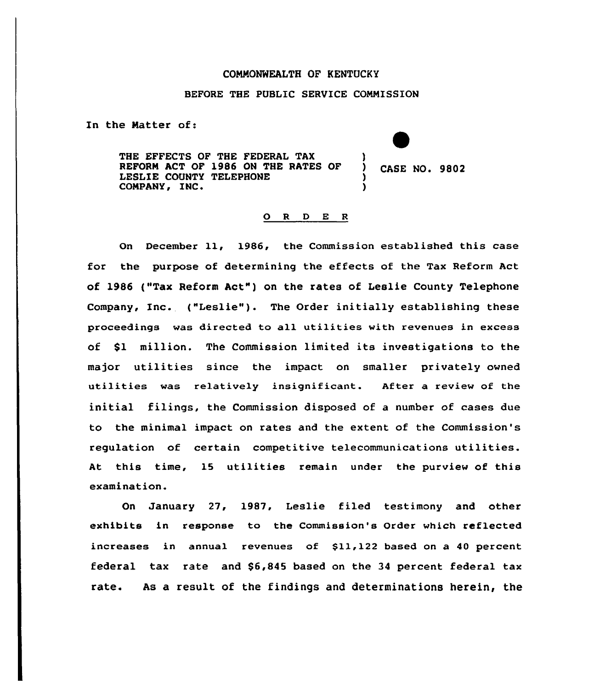## COMMONWEALTH OF KENTUCKY

### BEFORE THE PUBLIC SERVICE COMMISSION

In the Matter of:

THE EFFECTS OF THE FEDERAL TAX REFORM ACT OF 1986 ON THE RATES OF (CASE NO. 9802) COMPANY, INC.

## 0 <sup>R</sup> <sup>D</sup> E <sup>R</sup>

On December 11, 1986, the Commission established this case for the purpose of determining the effects of the Tax Reform Act of 1986 ("Tax Reform Act™)on the rates of Leslie County Telephone Company, Inc. ("Leslie"). The Order initially establishing these proceedings was directed to all utilities with revenues in excess of \$1 million. The Commission limited its investigations to the major utilities since the impact on smaller privately owned utilities was re1atively insignificant. After a review of the initial filings, the Commission disposed of a number of cases due to the minimal impact on rates and the extent of the Commission's requlation of certain competitive telecommunications utilities. At this time, 15 utilities remain under the purview of this examination.

On January 27, 1987, Leslie filed testimony and other exhibits in response to the Commission's Order which reflected increases in annual revenues of \$11,122 based on a 40 percent federal tax rate and \$6,845 based on the 34 percent federal tax rate. As a result of the findings and determinations herein, the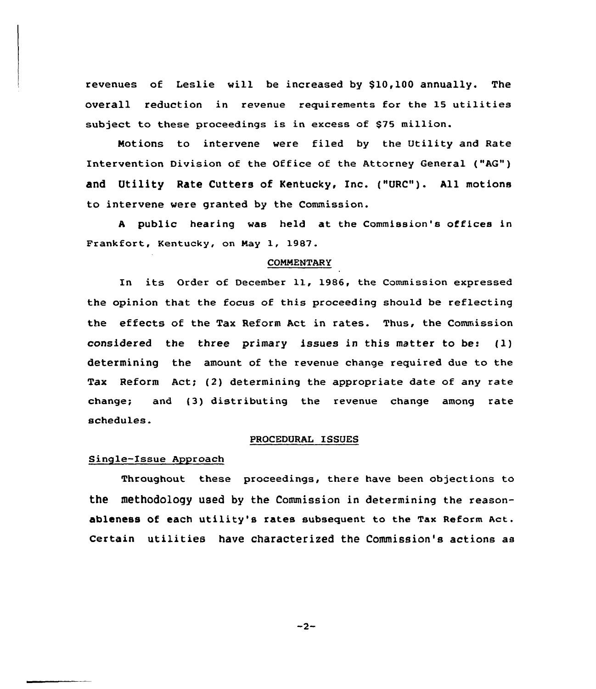revenues of Leslie will be increased by \$10,100 annually. The overall reduction in revenue requirements for the 15 utilities subject to these proceedings is in excess of \$75 million.

Motions to intervene were filed by the Utility and Rate Intervention Division of the Office of the Attorney General ("AG") and Utility Rate Cutters of Kentucky, Inc. ("URC"). All motions to intervene were granted by the Commission.

<sup>A</sup> public hearing was held at the Commission's offices in Frankfort, Kentucky, on May 1, 1987.

#### COMMENTARY

In its Order of December 11, 1986, the Commission expressed the opinion that the focus of this proceeding should be reflecting the effects of the Tax Reform Act in rates. Thus, the Commission considered the three primary issues in this matter to be< (l) determining the amount of the revenue change required due to the Tax Reform Act; (2) determining the appropriate date of any rate change; and (3) distributing the revenue change among rate schedules.

#### PROCEDURAL ISSUES

## Single-Issue Approach

Throughout these proceedings, there have been objections to the methodology used by the Commission in determining the reasonableness of each utility's rates subsequent to the Tax Reform Act. Certain utilities have characterized the Commission's actions as

 $-2-$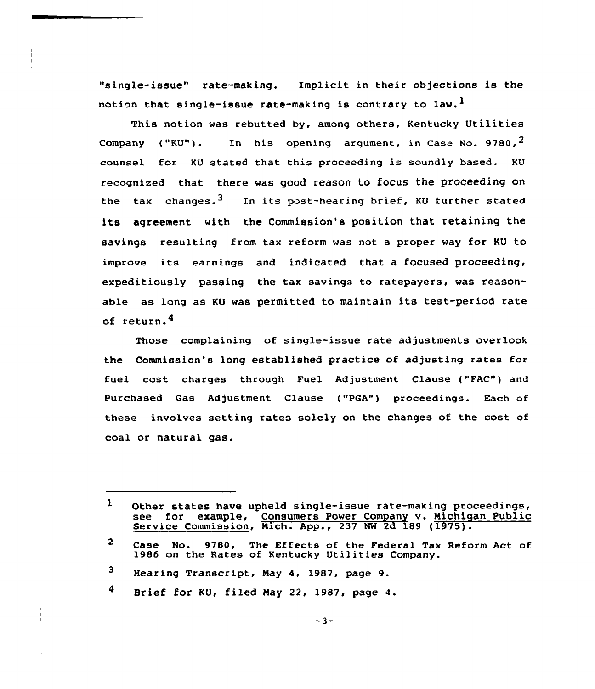"single-issue" rate-making. Implicit in their objections is the notion that single-issue rate-making is contrary to law.<sup>1</sup>

This notion was rebutted by, among others, Kentucky Utilities Company ("KU"). In his opening argument, in Case No. 9780.<sup>2</sup> counsel for KU stated that this proceeding is soundly based. KU recognized that there was good reason to focus the proceeding on the tax changes.<sup>3</sup> In its post-hearing brief, KU further stated its agreement with the Commission's position that retaining the savings resulting from tax reform was not a proper way for KU to improve its earnings and indicated that a focused proceeding, expeditiously passing the tax savings to ratepayers, was reasonable as long as KU was permitted to maintain its test-period rate of return.4

Those complaining of single-issue rate adjustments overlook the Commission's long established practice of adjusting rates for fuel cost charges through Fuel Adjustment Clause ("FAC") and Purchased Gas Adjustment Clause ("PQA") proceedings. Each of these involves setting rates solely on the changes of the cost of coal or natural gas.

4 Brief for KU, filed Nay 22, 1987, page 4.

 $\mathbf{1}$ Other states have upheld single-issue rate-making proceedings,<br>see for example, Consumers Power Company v. Michigan Public for example, Consumers Power Company v. Michigan Public Service Commission, Mich. App., 237 NW 2d 189 (1975).

<sup>2</sup> Case No. 9780, The Effects of the Federal Tax Reform Act of 1986 on the Rates of kentucky Utilities Company.

<sup>3</sup> Hearing Transcript, May 4, 1987, page 9.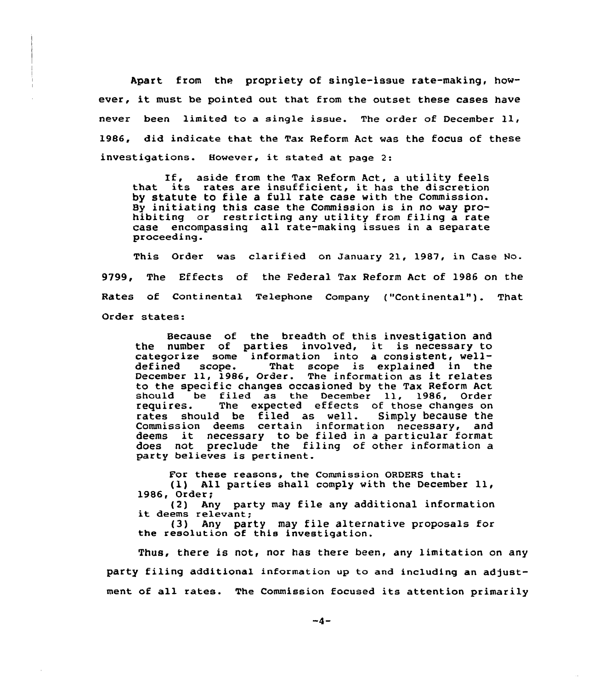Apart from the propriety of single-issue rate-making, however, it must be pointed out that from the outset these cases have never been limited to <sup>a</sup> single issue. The order of December ll, 1986, did indicate that the Tax Reform Act was the focus of these investigations. However, it stated at. page 2:

If, aside from the Tax Reform Act, <sup>a</sup> utility feels that its rates are insufficient, it has the discretion by statute to file a full rate case with the Commission. By initiating this case the Commission is in no way prohibiting or restricting any utility from filing a rate case encompassing all rate-making issues in a separate proceeding.

This Order was clarified on January 21, 1987, in Case Ho-9799, The Effects of the Federal Tax Reform Act of l986 on the Rates of Continental Telephone Company ("Continental"). That Order states:

Because of the breadth of this investigation and the number of parties involved, it is necessary to categorize some information into a consistent, well-<br>defined scope. That scope is explained in the That scope is explained in the December 11, 1986, Order. The information as it relates to the specific changes occasioned by the Tax Reform Act<br>should be filed as the December 11, 1986, Order should be filed as the December 11, 1986, Order<br>requires. The expected effects of those changes on The expected effects of those changes on<br>I be filed as well. Simply because the rates should be filed as well. Commission deems certain information necessary, and Commission deems certain information necessary, and<br>deems it necessary to be filed in a particular forma does not preclude the filing of other information a party be1ieves is pertinent.

For these reasons, the Commission ORDERS that: (l) All parties shall comply with the December ll,

1986, Order; (2) Any party may file any additional information it deems relevant;

(3) Any party may file alternative proposals for the resolution of this investigation.

Thus, there is not, nor has there been, any limitation on any party filing additional information up to and including an adjustment of all rates. The Commission focused its attention primarily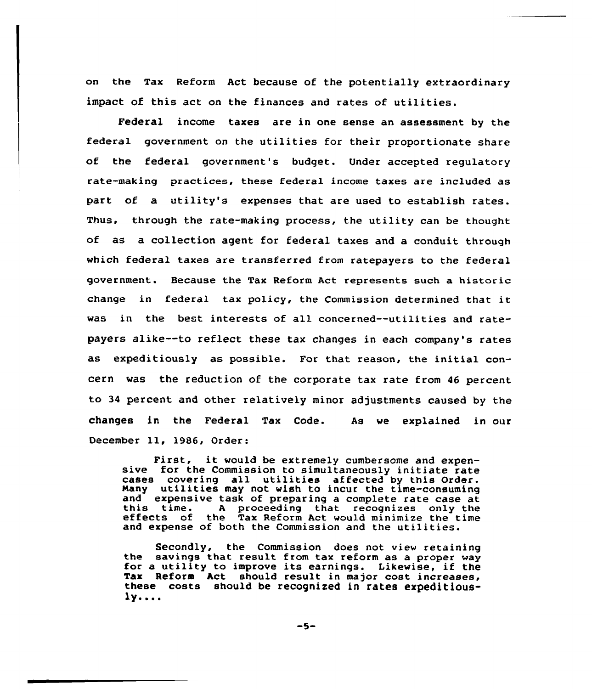on the Tax Reform Act because of the potentially extraordinary impact of this act on the finances and rates of utilities.

Federal income taxes are in one sense an assessment by the federal government on the utilities for their proportionate share of the federal government's budget. Under accepted regulatory rate-making practices, these federal income taxes are included as part of a utility's expenses that are used to establish rates. Thus, through the rate-making process, the utility can be thought of as a collection agent for federal taxes and a conduit through which federal taxes are transferred from ratepayers to the federal government. Because the Tax Reform Act represents such a historic change in federal tax policy, the Commission determined that it was in the best interests of all concerned--utilities and ratepayers alike--to reflect these tax changes in each company's rates as expeditiously as possible. For that reason, the initial concern was the reduction of the corporate tax rate from 46 percent to <sup>34</sup> percent and other relatively minor adjustments caused by the changes in the Federal Tax Code. As we explained in our December ll, 1986, Order:

First, it would be extremely cumbersome and expen- sive for the Commission to simultaneously initiate rate cases covering all utilities affected by this Order. Many utilities may not wish to incur the time-consuming and expensive task of preparing <sup>a</sup> complete rate case at this time. <sup>A</sup> proceeding that recognizes only the effects of the Tax Reform Act would minimize the time and expense of both the Commission and the utilities.

Secondly, the Commission does not view retaining the savings that result from tax reform as a proper way<br>for a utility to improve its earnings. Likewise, if the<br>Tax Reform Act should result in major cost increases, these costs should be recognized in rates expeditious- $1y...$ 

$$
-5-
$$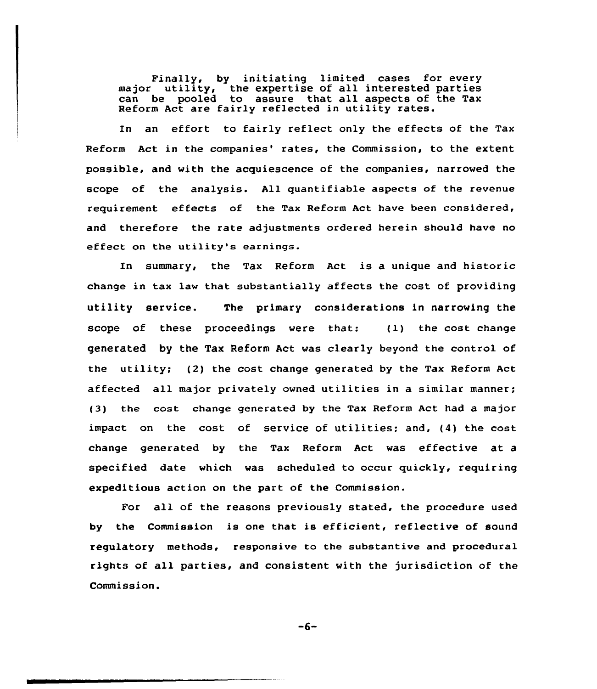Finally, by initiating limited cases for every major utility, the expertise of all interested partie major utility, the expertise of all interested parties<br>can be pooled to assure that all aspects of the Tax Reform Act are fairly reflected in utility rates.

En an effort to fairly reflect only the effects of the Tax Reform Act in the companies' rates, the Commission, to the extent possible, and with the acquiescence of the companies, narrowed the scope of the analysis. All quantifiable aspects of the revenue requirement effects of the Tax Reform Act have been considered, and therefore the rate adjustments ordered herein should have no effect on the utility's earnings.

En summary, the Tax Reform Act is a unique and historic change in tax law that substantially affects the cost of providing utility service. The primary considerations in narrowing the scope of these proceedings were that: {1) the cost change generated by the Tax Reform Act was clearly beyond the control of the utility; {2) the cost change generated by the Tax Reform Act affected all major privately owned utilities in a similar manner; (3) the cost change generated by the Tax Reform Act had a major impact on the cost of service of utilities; and, {4) the cost change generated by the Tax Reform Act was effective at a specified date which was scheduled to occur quickly, requiring expeditious action on the part of the Commission.

For all of the reasons previously stated, the procedure used by the Commission is one that is efficient, reflective of sound regulatory methods, responsive to the substantive and procedural rights of all parties, and consistent with the jurisdiction of the Commission.

$$
-6-
$$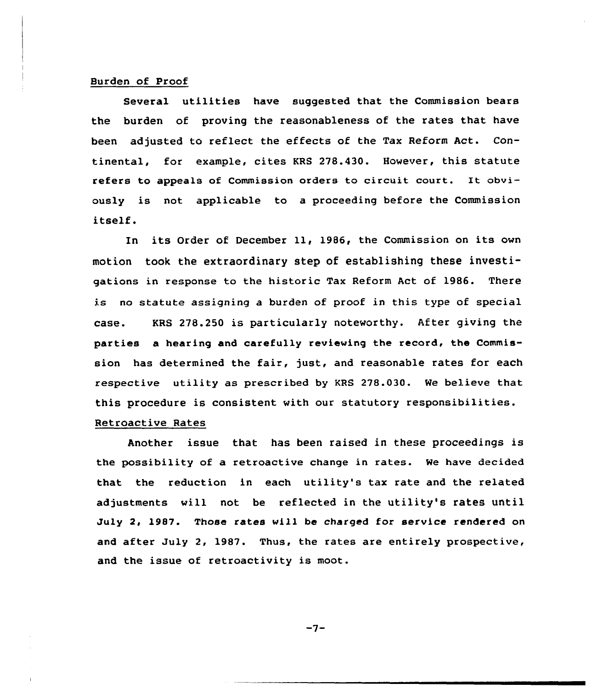## Burden of Proof

Several utilities have suggested that the Commission bears the burden of proving the reasonableness of the rates that have been adjusted to reflect the effects of the Tax Reform Act. Continental, for example, cites KRS 278.430. However, this statute refers to appeals of Commission orders to circuit court. It obviously is not applicable to a proceeding before the Commission itself.

In its Order of December 11, 1986, the Commission on its own motion taok the extraordinary step of establishing these investigations in response to the historic Tax Reform Act of 1986. There is no statute assigning a burden of proof in this type of special case. KRS 278.250 is particularly noteworthy. After giving the parties a hearing and carefully reviewing the record, the Commission has determined the fair, just, and reasonable rates for each respective utility as prescribed by KRS 278.030. We believe that this procedure is consistent with our statutory responsibilities. Retroactive Rates

Another issue that has been raised in these proceedings is the possibility af a retroactive change in rates. We have decided that the reduction in each utility's tax rate and the related adjustments will not be reflected in the utility's rates until July 2, 1987. Those rates will be charged for service rendered on and after July 2, 1987. Thus, the rates are entirely prospective, and the issue of retroactivity is moot.

 $-7-$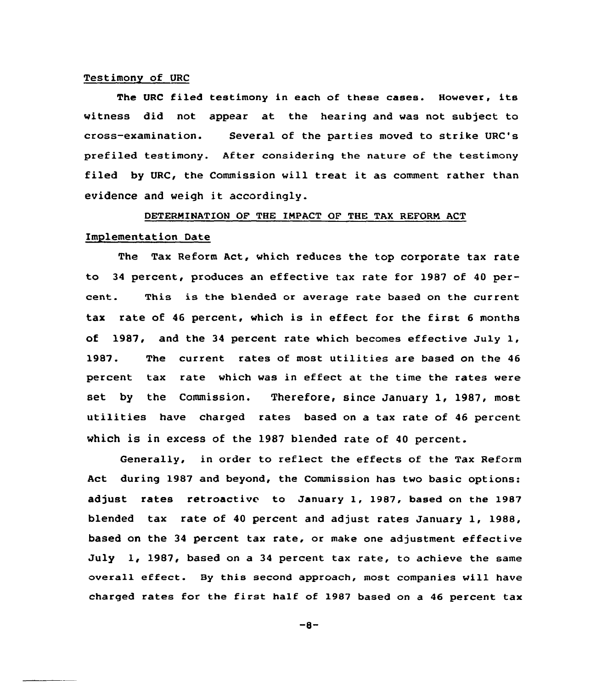#### Testimony of URC

The URC filed testimony in each of these cases. However, its witness did not appear at the hearing and was not subject to cross-examination. Several of the parties moved to strike URC's prefiled testimony. After considering the nature of the testimony filed by URC, the Commission will treat it as comment rather than evidence and weigh it accordingly.

## DETERNINATION OF THE INPACT OF THE TAX REFORN ACT

### Implementation Date

The Tax Reform Act, which reduces the top corporate tax rate to 34 percent, produces an effective tax rate for 1987 of 40 percent. This is the blended or average rate based on the current tax rate of <sup>46</sup> percent, which is in effect for the first <sup>6</sup> months of 1987, and the <sup>34</sup> percent rate which becomes effective July 1, 1987. The current rates of most utilities are based on the 46 percent tax rate which was in effect at the time the rates were set by the Commission. Therefore, since January 1, 1987, most utilities have charged rates based on a tax rate of <sup>46</sup> percent which is in excess of the 1987 blended rate of <sup>40</sup> percent.

Generally, in order to reflect the effects of the Tax Reform Act during 1987 and beyond, the Commission has two basic options: adjust rates retroactive to January 1, 1987, based on the 1987 blended tax rate of <sup>40</sup> percent and adjust rates January 1, 1988, based on the 34 percent tax rate, or make one adjustment effective July 1, 1987, based on a 34 percent tax rate, to achieve the same overall effect. By this second approach, most companies will have charged rates for the first half of 1987 based on <sup>a</sup> <sup>46</sup> percent tax

 $-8-$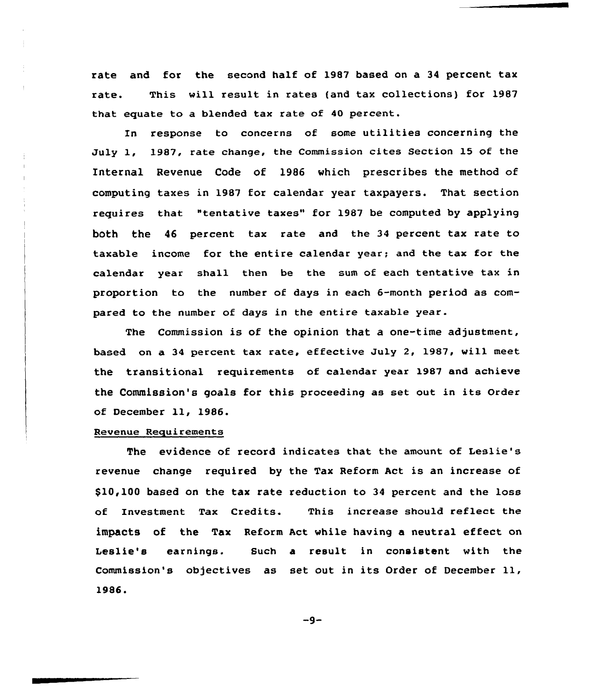rate and for the second half of 1987 based on a 34 percent tax rate. This will result in rates (and tax collections) for 1987 that equate to a blended tax rate of 40 percent.

In response to concerns of some utilities concerning the July 1, 1987, rate change, the Commission cites Section 15 of the Internal Revenue Code of 1986 which prescribes the method of computing taxes in 1987 for calendar year taxpayers. That section requires that "tentative taxes" for 1987 be computed by applying both the 46 percent tax rate and the 34 percent tax rate to taxable income for the entire calendar year; and the tax for the calendar year shall then be the sum of each tentative tax in proportion to the number of days in each 6-month period as compared to the number of days in the entire taxable year.

The Commission is of the opinion that a one-time adjustment, based on a 34 percent tax rate, effective July 2, 1987, will meet the transitional requirements of calendar year 1987 and achieve the Commission's goals for this proceeding as set out in its order of December ll, 1986.

## Revenue Requirements

The evidence of record indicates that the amount of Leslie's revenue change required by the Tax Reform Act is an increase of \$10,100 based on the tax rate reduction to 34 percent and the loss of Investment Tax Credits. This increase should reflect the impacts of the Tax Reform Act while having a neutral effect on Leslie's earnings. Such a result in consistent with the Commission's objectives as set out in its Order of December ll, 1986.

 $-9-$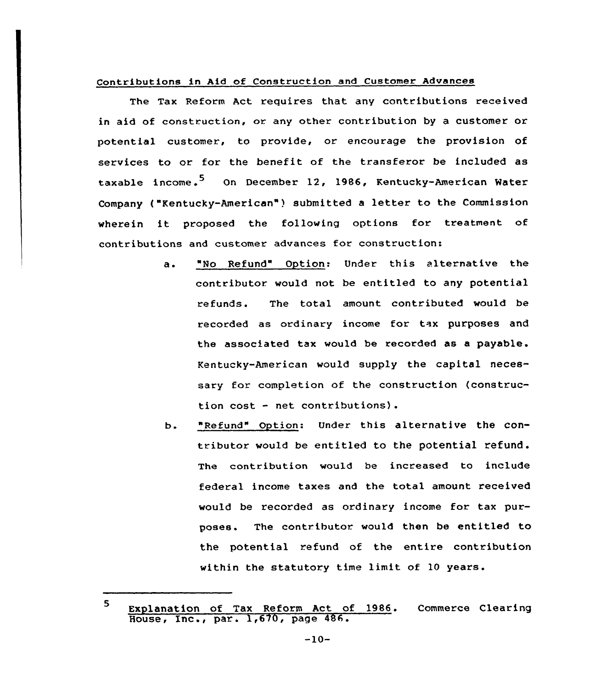## Contributions in Aid of Construction and Customer Advances

The Tax Reform Act requires that any contributions received in aid of construction, or any other contribution by a customer or potential customer, to provide, or encourage the provision of services to or for the benefit of the transferor be included as taxable income.<sup>5</sup> On December 12, 1986, Kentucky-American Water Company ("Kentucky-American" ) submitted <sup>a</sup> letter to the Commission wherein it proposed the following options for treatment of contributions and customer advances for construction:

- "No Refund" Option: Under this alternative the  $\ddot{a}$ . contributor would not be entitled to any potential refunds. The total amount contributed would be recorded as ordinary income for tax purposes and the associated tax would be recorded as a payable. Kentucky-American would supply the capital necessary for completion of the construction (construction cost — net contributions).
- "Refund" Option: Under this alternative the conь. tributor would be entitled to the potential refund. The contribution would be increased to include federal income taxes and the total amount received would be recorded as ordinary income for tax purposes. The contributor. would then be entitled to the potential refund of the entire contribution within the statutory time limit of 10 years.

<sup>5</sup> Explanation of Tax Reform Act of 1986. Commerce Clearin Expressed of the netber net of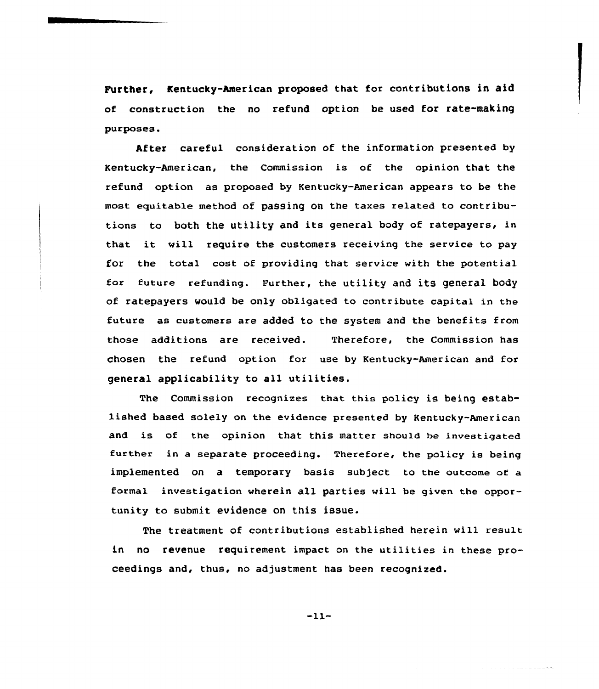Further, Kentucky-American proposed that for contributions in aid of construction the no refund option be used for rate-making purposes'fter

After careful consideration of the information presented by Kentucky-American, the Commission is of the opinion that the refund option as proposed by Kentucky-American appears to be the most equitable method af paSsing on the taxes related to contributions to both the utility and its general body of ratepayers, in that it will require the customers receiving the service to pay for the total cost of providing that service with the potential for future refunding. Further, the utility and its general body of ratepayers would be only obligated to contribute capital in the future as customers are added to the system and the benefits from those additions are received. Therefore, the Commission has chosen the refund option for use by Kentucky-American and for general applicability to all utilities.

The Commission recognizes that this policy is being established based solely on the evidence presented by Kentucky-American and is of the opinion that this matter should be investigated further in a separate proceeding. Therefore, the policy is being implemented on a temporary basis subject to the outcome of a formal investigation wherein all parties will be given the opportunity to submit evidence on this issue.

The treatment of contributians established herein will result in no revenue requirement impact on the utilities in these proceedings and, thus, no adjustment has been recognized.

 $-11-$ 

سنوس والمحامل والمتعارف والمحامل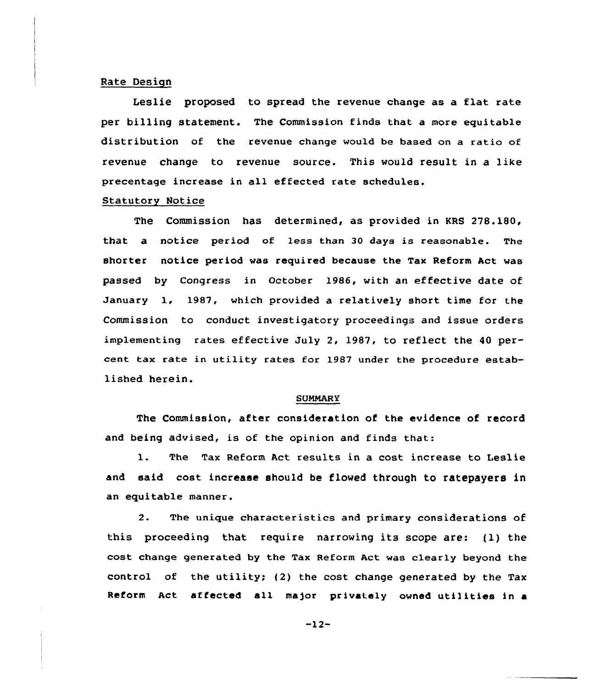## Rate Design

Leslie proposed to spread the revenue change as a flat rate per billing statement. The Commission finds that a more equitable distribution of the revenue change would be based on a ratio of revenue change to revenue source. This would result in a like precentage increase in all effected rate schedules.

## Statutory Notice

The Commission has determined, as provided in KRS 278.180, that a notice period of less than 30 days is reasonable. The shorter notice period was required because the Tax Reform Act was passed by Congress in October 1986, with an effective date of January 1, 1987, which provided a relatively short time for the Commission to conduct investigatory proceedings and issue orders implementing rates effective July 2, 1987, to reflect the 40 percent tax rate in utility rates for 1987 under the procedure established herein.

### **SUMMARY**

The Commission, after consideration of the evidence of record and being advised, is of the opinion and finds that:

1. The Tax Reform Act results in <sup>a</sup> cost increase to Leslie and said cost increase should be flowed through to ratepayers in an equitable manner.

2. The unique characteristics and primary considerations of this proceeding that require narrowing its scope are: (1) the cost change generated by the Tax Reform Act was clearly beyond the control of the utility; (2) the cost change generated by the Tax Reform Act affected all ma)or privately owned utilities in <sup>a</sup>

-12-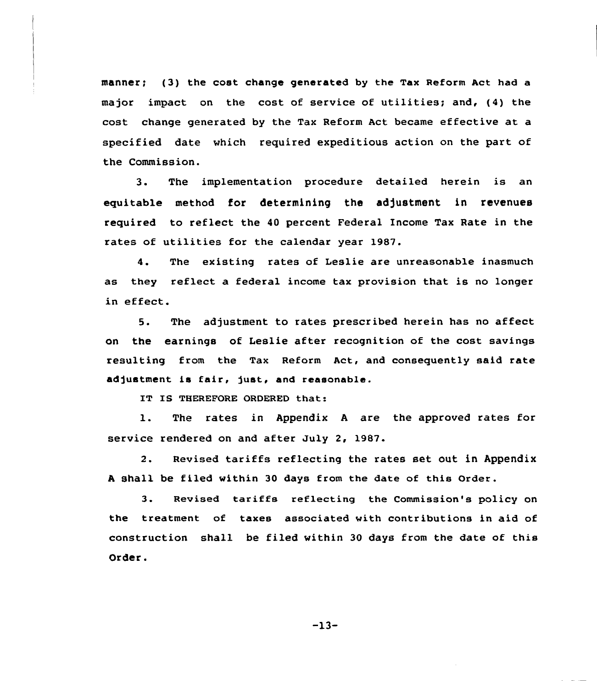manner; {3) the cost change generated by the Tax Reform Act had a major impact on the cost of service of utilities; and, {4) the cost change generated by the Tax Reform Act became effective at a specified date which required expeditious action on the part of the Commission.

3. The implementation procedure detailed herein is an equitable method for determining the adjustment in revenues required to reflect the 40 percent Federal Income Tax Bate in the rates of utilities for the calendar year 1987.

4. The existing rates of Leslie are unreasonable inasmuch as they reflect a federal income tax provision that is no longer in effect.

5. The adjustment to rates prescribed herein has no affect on the earnings of Leslie after recognition of the cost savings resulting from the Tax Reform Act, and consequently said rate adjustment is fair, just, and reasonable.

IT IS THEREFORE ORDERED that:

1. The rates in Appendix <sup>A</sup> are the approved rates for service rendered on and after July 2, 1987.

2. Revised tariffs reflecting the rates set out in Appendix <sup>A</sup> shall be filed within 30 days from the date of this order.

3. Revised tariffs reflecting the Commission's policy on the treatment of taxes associated with contributions in aid of construction shall be filed within 30 days from the date of this Order.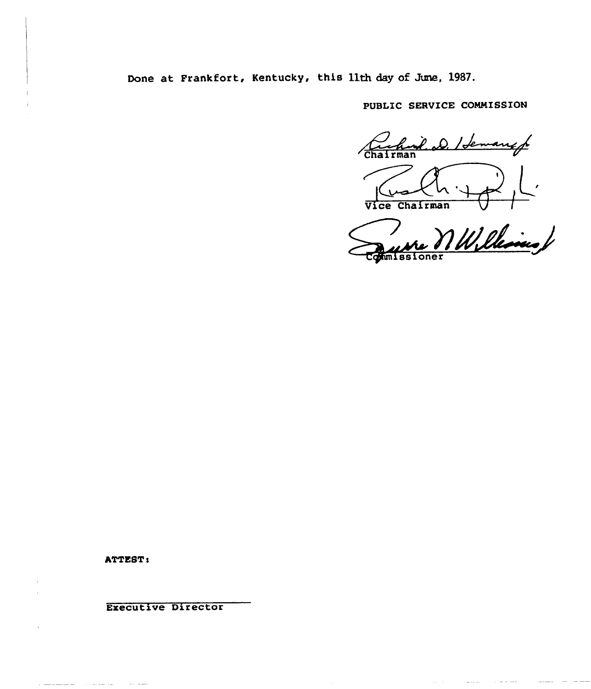Done at Frankfort, Kentucky, this 11th day of June, 1987.

PUBLIC SERVICE COMMISSION

Charleman D. Idem angg

Vice Chairman

Williams / sioner

ATTEST:

 $\alpha$  is a similar form

- 1

Executive Director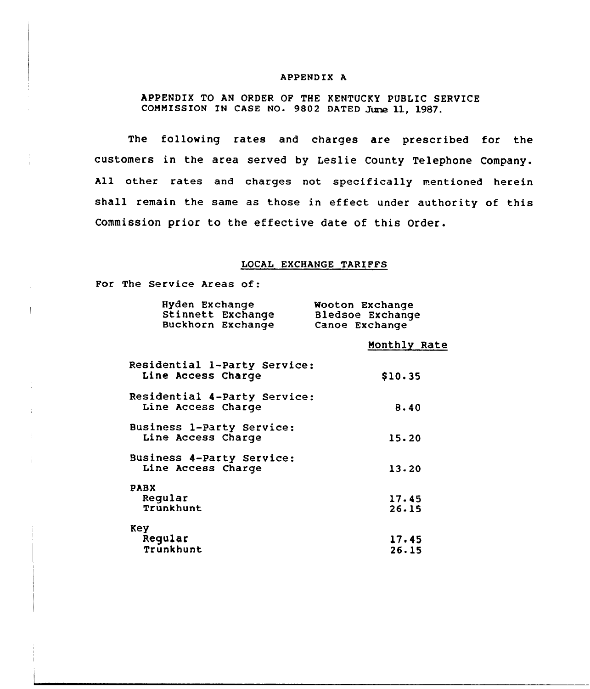## APPENDIX A

APPENDIX TO AN ORDER OP THE KENTUCKY PUBLIC SERVICE COMMISSION IN CASE NO. 9802 DATED June 11, 1987.

The following rates and charges are prescribed for the customers in the area served by Leslie County Telephone Company. All other rates and charges not specifically mentioned herein shall remain the same as those in effect under authority of this Commission prior to the effective date of this Order.

## LOCAL EXCHANGE TARIFFS

For The Service Areas of:

 $\ddot{\phantom{a}}$ 

÷

| Hyden Exchange<br>Stinnett Exchange<br>Buckhorn Exchange | Wooton Exchange<br>Bledsoe Exchange<br>Canoe Exchange |
|----------------------------------------------------------|-------------------------------------------------------|
|                                                          | Monthly Rate                                          |
| Residential 1-Party Service:<br>Line Access Charge       | \$10.35                                               |
| Residential 4-Party Service:<br>Line Access Charge       | 8.40                                                  |
| Business 1-Party Service:<br>Line Access Charge          | 15.20                                                 |
| Business 4-Party Service:<br>Line Access Charge          | 13.20                                                 |
| <b>PABX</b><br>Reqular<br>Trunkhunt                      | 17.45<br>26.15                                        |
| Key<br>Regular<br>Trunkhunt                              | 17.45<br>26.15                                        |